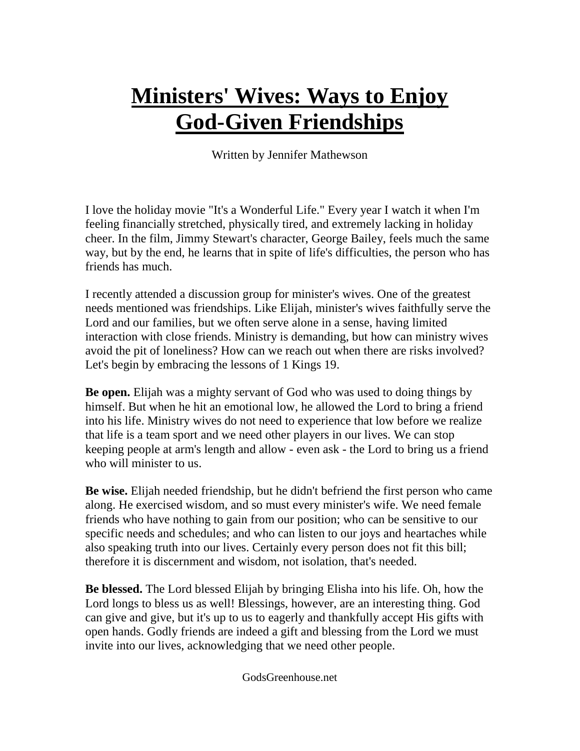## **Ministers' Wives: Ways to Enjoy God-Given Friendships**

Written by Jennifer Mathewson

I love the holiday movie "It's a Wonderful Life." Every year I watch it when I'm feeling financially stretched, physically tired, and extremely lacking in holiday cheer. In the film, Jimmy Stewart's character, George Bailey, feels much the same way, but by the end, he learns that in spite of life's difficulties, the person who has friends has much.

I recently attended a discussion group for minister's wives. One of the greatest needs mentioned was friendships. Like Elijah, minister's wives faithfully serve the Lord and our families, but we often serve alone in a sense, having limited interaction with close friends. Ministry is demanding, but how can ministry wives avoid the pit of loneliness? How can we reach out when there are risks involved? Let's begin by embracing the lessons of 1 Kings 19.

**Be open.** Elijah was a mighty servant of God who was used to doing things by himself. But when he hit an emotional low, he allowed the Lord to bring a friend into his life. Ministry wives do not need to experience that low before we realize that life is a team sport and we need other players in our lives. We can stop keeping people at arm's length and allow - even ask - the Lord to bring us a friend who will minister to us.

**Be wise.** Elijah needed friendship, but he didn't befriend the first person who came along. He exercised wisdom, and so must every minister's wife. We need female friends who have nothing to gain from our position; who can be sensitive to our specific needs and schedules; and who can listen to our joys and heartaches while also speaking truth into our lives. Certainly every person does not fit this bill; therefore it is discernment and wisdom, not isolation, that's needed.

**Be blessed.** The Lord blessed Elijah by bringing Elisha into his life. Oh, how the Lord longs to bless us as well! Blessings, however, are an interesting thing. God can give and give, but it's up to us to eagerly and thankfully accept His gifts with open hands. Godly friends are indeed a gift and blessing from the Lord we must invite into our lives, acknowledging that we need other people.

GodsGreenhouse.net